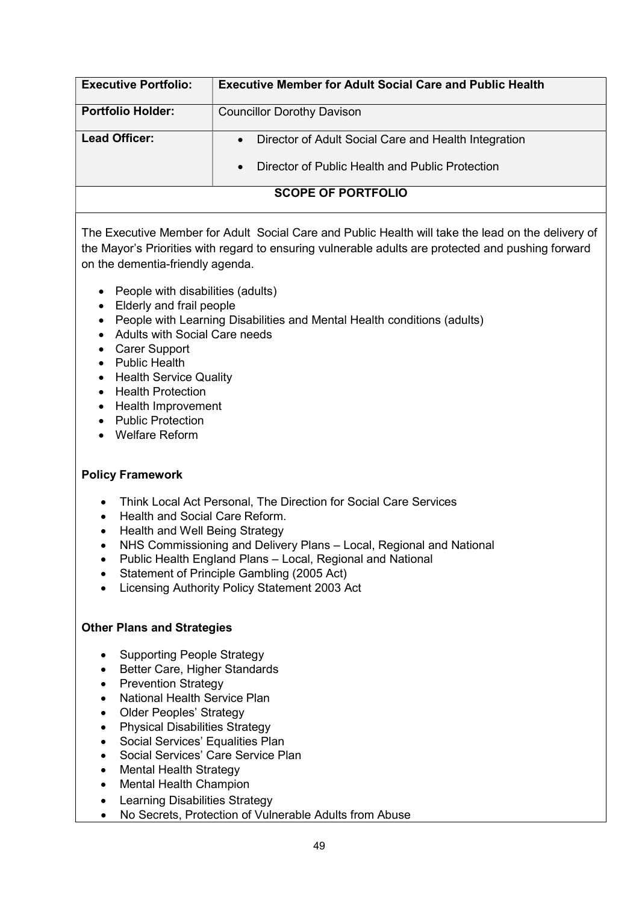| <b>Executive Portfolio:</b> | <b>Executive Member for Adult Social Care and Public Health</b>                                           |
|-----------------------------|-----------------------------------------------------------------------------------------------------------|
| <b>Portfolio Holder:</b>    | <b>Councillor Dorothy Davison</b>                                                                         |
| <b>Lead Officer:</b>        | • Director of Adult Social Care and Health Integration<br>Director of Public Health and Public Protection |
| <b>SCOPE OF PORTFOLIO</b>   |                                                                                                           |

The Executive Member for Adult Social Care and Public Health will take the lead on the delivery of the Mayor's Priorities with regard to ensuring vulnerable adults are protected and pushing forward on the dementia-friendly agenda.

- People with disabilities (adults)
- Elderly and frail people
- People with Learning Disabilities and Mental Health conditions (adults)
- Adults with Social Care needs
- Carer Support
- Public Health
- Health Service Quality
- Health Protection
- Health Improvement
- Public Protection
- Welfare Reform

## Policy Framework

- Think Local Act Personal, The Direction for Social Care Services
- Health and Social Care Reform.
- Health and Well Being Strategy
- NHS Commissioning and Delivery Plans Local, Regional and National
- Public Health England Plans Local, Regional and National
- Statement of Principle Gambling (2005 Act)
- Licensing Authority Policy Statement 2003 Act

## Other Plans and Strategies

- Supporting People Strategy
- Better Care, Higher Standards
- Prevention Strategy
- National Health Service Plan
- Older Peoples' Strategy
- Physical Disabilities Strategy
- Social Services' Equalities Plan
- Social Services' Care Service Plan
- Mental Health Strategy
- Mental Health Champion
- Learning Disabilities Strategy
- No Secrets, Protection of Vulnerable Adults from Abuse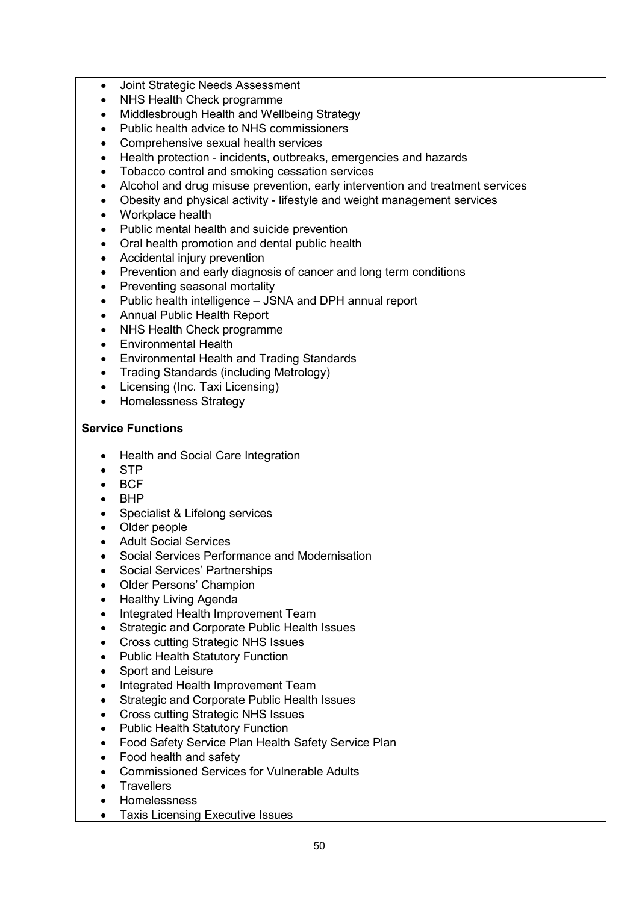- Joint Strategic Needs Assessment
- NHS Health Check programme
- Middlesbrough Health and Wellbeing Strategy
- Public health advice to NHS commissioners
- Comprehensive sexual health services
- Health protection incidents, outbreaks, emergencies and hazards
- Tobacco control and smoking cessation services
- Alcohol and drug misuse prevention, early intervention and treatment services
- Obesity and physical activity lifestyle and weight management services
- Workplace health
- Public mental health and suicide prevention
- Oral health promotion and dental public health
- Accidental injury prevention
- Prevention and early diagnosis of cancer and long term conditions
- Preventing seasonal mortality
- Public health intelligence JSNA and DPH annual report
- Annual Public Health Report
- NHS Health Check programme
- Environmental Health
- Environmental Health and Trading Standards
- Trading Standards (including Metrology)
- Licensing (Inc. Taxi Licensing)
- Homelessness Strategy

## Service Functions

- Health and Social Care Integration
- STP
- $\bullet$  BCF
- $-BHP$
- Specialist & Lifelong services
- Older people
- Adult Social Services
- Social Services Performance and Modernisation
- Social Services' Partnerships
- Older Persons' Champion
- Healthy Living Agenda
- Integrated Health Improvement Team
- Strategic and Corporate Public Health Issues
- Cross cutting Strategic NHS Issues
- Public Health Statutory Function
- Sport and Leisure
- Integrated Health Improvement Team
- Strategic and Corporate Public Health Issues
- Cross cutting Strategic NHS Issues
- Public Health Statutory Function
- Food Safety Service Plan Health Safety Service Plan
- Food health and safety
- Commissioned Services for Vulnerable Adults
- Travellers
- Homelessness
- Taxis Licensing Executive Issues